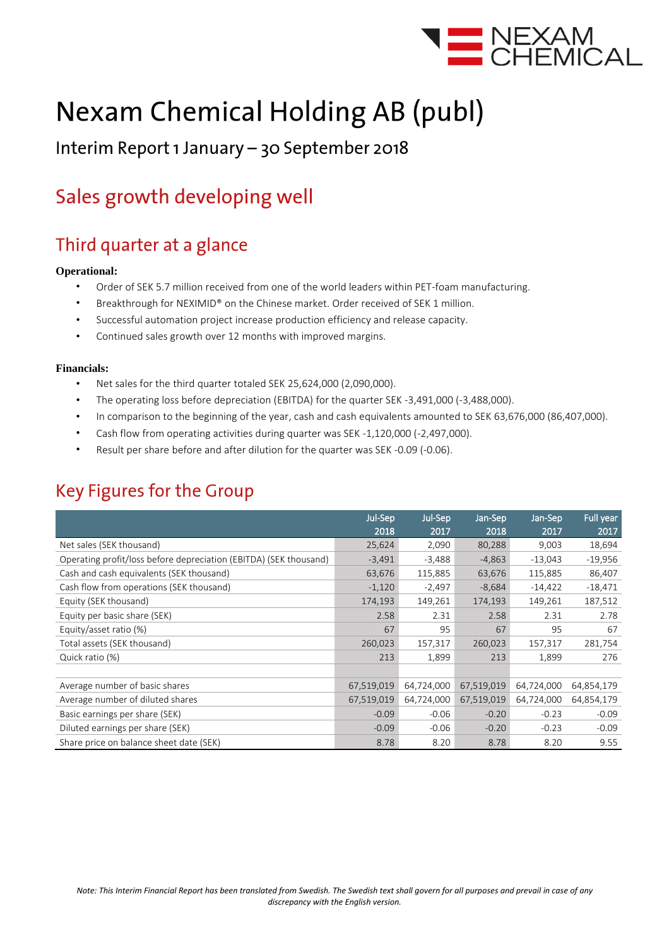

# **Nexam Chemical Holding AB (publ)**

### Interim Report 1 January - 30 September 2018

## Sales growth developing well

### Third quarter at a glance

#### **Operational:**

- Order of SEK 5.7 million received from one of the world leaders within PET-foam manufacturing.
- Breakthrough for NEXIMID® on the Chinese market. Order received of SEK 1 million.
- Successful automation project increase production efficiency and release capacity.
- Continued sales growth over 12 months with improved margins.

#### **Financials:**

- Net sales for the third quarter totaled SEK 25,624,000 (2,090,000).
- The operating loss before depreciation (EBITDA) for the quarter SEK -3,491,000 (-3,488,000).
- In comparison to the beginning of the year, cash and cash equivalents amounted to SEK 63,676,000 (86,407,000).
- Cash flow from operating activities during quarter was SEK -1,120,000 (-2,497,000).
- Result per share before and after dilution for the quarter was SEK -0.09 (-0.06).

### **Key Figures for the Group**

|                                                                   | Jul-Sep    | Jul-Sep    | Jan-Sep    | Jan-Sep    | Full year  |
|-------------------------------------------------------------------|------------|------------|------------|------------|------------|
|                                                                   | 2018       | 2017       | 2018       | 2017       | 2017       |
| Net sales (SEK thousand)                                          | 25,624     | 2,090      | 80,288     | 9,003      | 18,694     |
| Operating profit/loss before depreciation (EBITDA) (SEK thousand) | $-3,491$   | $-3,488$   | $-4,863$   | $-13,043$  | $-19,956$  |
| Cash and cash equivalents (SEK thousand)                          | 63,676     | 115,885    | 63,676     | 115,885    | 86,407     |
| Cash flow from operations (SEK thousand)                          | $-1,120$   | $-2,497$   | $-8,684$   | $-14,422$  | $-18,471$  |
| Equity (SEK thousand)                                             | 174,193    | 149,261    | 174,193    | 149,261    | 187,512    |
| Equity per basic share (SEK)                                      | 2.58       | 2.31       | 2.58       | 2.31       | 2.78       |
| Equity/asset ratio (%)                                            | 67         | 95         | 67         | 95         | 67         |
| Total assets (SEK thousand)                                       | 260,023    | 157,317    | 260,023    | 157,317    | 281,754    |
| Quick ratio (%)                                                   | 213        | 1,899      | 213        | 1,899      | 276        |
|                                                                   |            |            |            |            |            |
| Average number of basic shares                                    | 67,519,019 | 64,724,000 | 67,519,019 | 64,724,000 | 64,854,179 |
| Average number of diluted shares                                  | 67,519,019 | 64,724,000 | 67,519,019 | 64,724,000 | 64,854,179 |
| Basic earnings per share (SEK)                                    | $-0.09$    | $-0.06$    | $-0.20$    | $-0.23$    | $-0.09$    |
| Diluted earnings per share (SEK)                                  | $-0.09$    | $-0.06$    | $-0.20$    | $-0.23$    | $-0.09$    |
| Share price on balance sheet date (SEK)                           | 8.78       | 8.20       | 8.78       | 8.20       | 9.55       |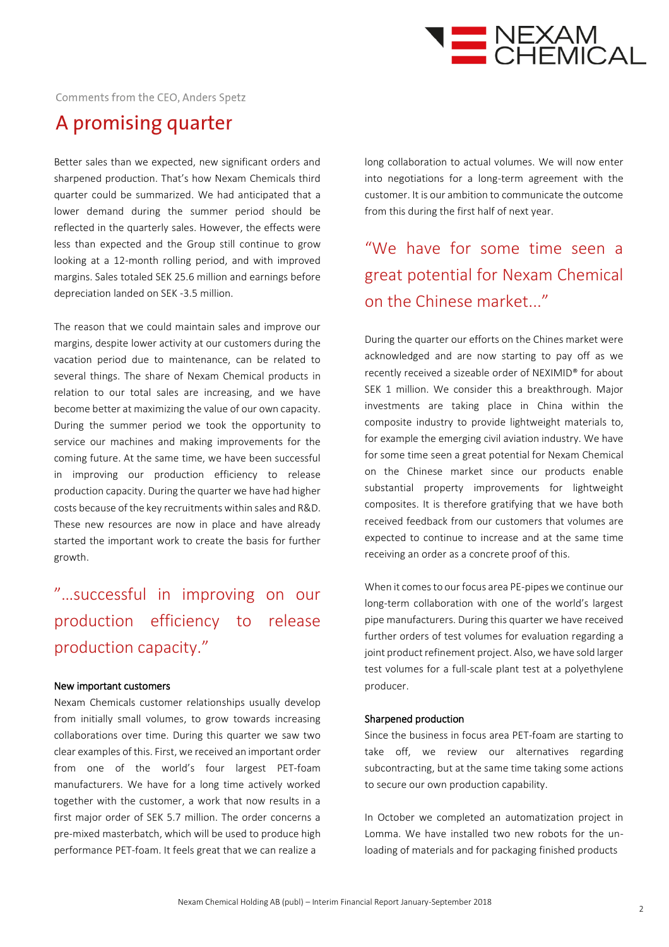

Comments from the CEO, Anders Spetz

### A promising quarter

Better sales than we expected, new significant orders and sharpened production. That's how Nexam Chemicals third quarter could be summarized. We had anticipated that a lower demand during the summer period should be reflected in the quarterly sales. However, the effects were less than expected and the Group still continue to grow looking at a 12-month rolling period, and with improved margins. Sales totaled SEK 25.6 million and earnings before depreciation landed on SEK -3.5 million.

The reason that we could maintain sales and improve our margins, despite lower activity at our customers during the vacation period due to maintenance, can be related to several things. The share of Nexam Chemical products in relation to our total sales are increasing, and we have become better at maximizing the value of our own capacity. During the summer period we took the opportunity to service our machines and making improvements for the coming future. At the same time, we have been successful in improving our production efficiency to release production capacity. During the quarter we have had higher costs because of the key recruitments within sales and R&D. These new resources are now in place and have already started the important work to create the basis for further growth.

### "…successful in improving on our production efficiency to release production capacity."

#### New important customers

Nexam Chemicals customer relationships usually develop from initially small volumes, to grow towards increasing collaborations over time. During this quarter we saw two clear examples of this. First, we received an important order from one of the world's four largest PET-foam manufacturers. We have for a long time actively worked together with the customer, a work that now results in a first major order of SEK 5.7 million. The order concerns a pre-mixed masterbatch, which will be used to produce high performance PET-foam. It feels great that we can realize a

long collaboration to actual volumes. We will now enter into negotiations for a long-term agreement with the customer. It is our ambition to communicate the outcome from this during the first half of next year.

### "We have for some time seen a great potential for Nexam Chemical on the Chinese market..."

During the quarter our efforts on the Chines market were acknowledged and are now starting to pay off as we recently received a sizeable order of NEXIMID® for about SEK 1 million. We consider this a breakthrough. Major investments are taking place in China within the composite industry to provide lightweight materials to, for example the emerging civil aviation industry. We have for some time seen a great potential for Nexam Chemical on the Chinese market since our products enable substantial property improvements for lightweight composites. It is therefore gratifying that we have both received feedback from our customers that volumes are expected to continue to increase and at the same time receiving an order as a concrete proof of this.

When it comes to our focus area PE-pipes we continue our long-term collaboration with one of the world's largest pipe manufacturers. During this quarter we have received further orders of test volumes for evaluation regarding a joint product refinement project. Also, we have sold larger test volumes for a full-scale plant test at a polyethylene producer.

#### Sharpened production

Since the business in focus area PET-foam are starting to take off, we review our alternatives regarding subcontracting, but at the same time taking some actions to secure our own production capability.

In October we completed an automatization project in Lomma. We have installed two new robots for the unloading of materials and for packaging finished products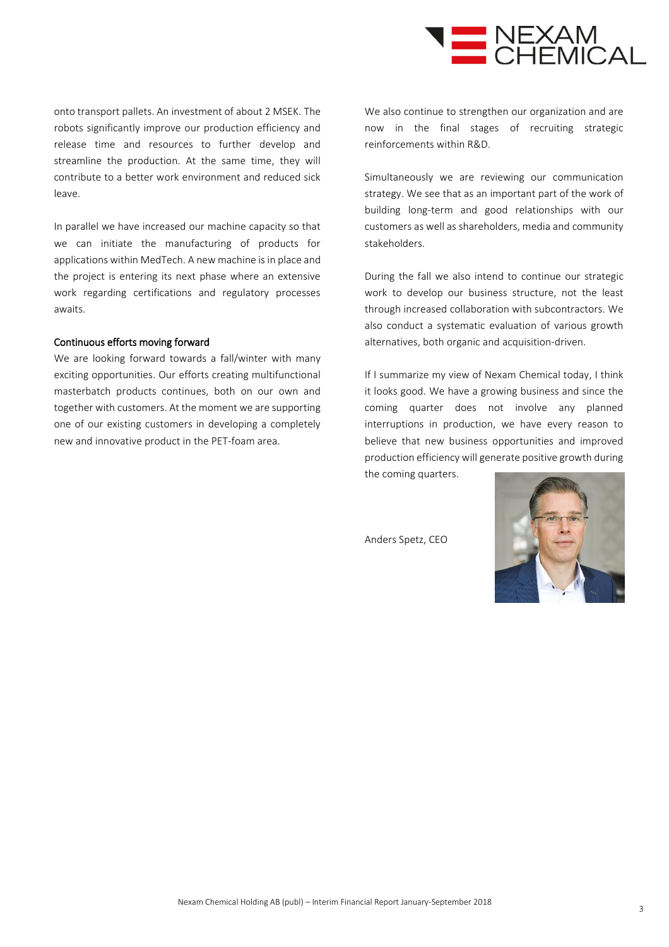

onto transport pallets. An investment of about 2 MSEK. The robots significantly improve our production efficiency and release time and resources to further develop and streamline the production. At the same time, they will contribute to a better work environment and reduced sick leave.

In parallel we have increased our machine capacity so that we can initiate the manufacturing of products for applications within MedTech. A new machine is in place and the project is entering its next phase where an extensive work regarding certifications and regulatory processes awaits.

#### Continuous efforts moving forward

We are looking forward towards a fall/winter with many exciting opportunities. Our efforts creating multifunctional masterbatch products continues, both on our own and together with customers. At the moment we are supporting one of our existing customers in developing a completely new and innovative product in the PET-foam area.

We also continue to strengthen our organization and are now in the final stages of recruiting strategic reinforcements within R&D.

Simultaneously we are reviewing our communication strategy. We see that as an important part of the work of building long-term and good relationships with our customers as well as shareholders, media and community stakeholders.

During the fall we also intend to continue our strategic work to develop our business structure, not the least through increased collaboration with subcontractors. We also conduct a systematic evaluation of various growth alternatives, both organic and acquisition-driven.

If I summarize my view of Nexam Chemical today, I think it looks good. We have a growing business and since the coming quarter does not involve any planned interruptions in production, we have every reason to believe that new business opportunities and improved production efficiency will generate positive growth during the coming quarters.

Anders Spetz, CEO

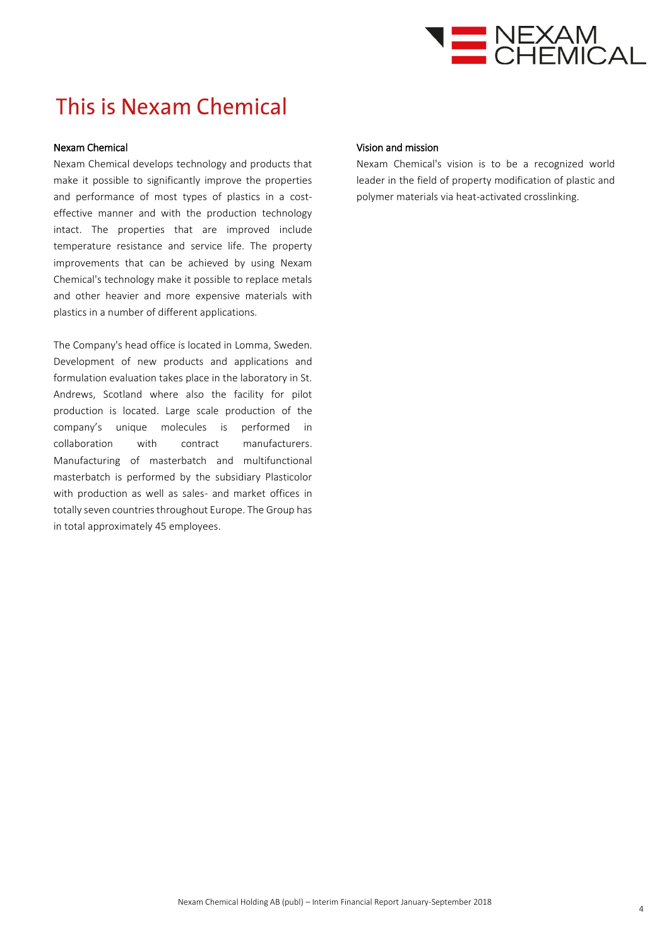

## This is Nexam Chemical

#### Nexam Chemical

Nexam Chemical develops technology and products that make it possible to significantly improve the properties and performance of most types of plastics in a costeffective manner and with the production technology intact. The properties that are improved include temperature resistance and service life. The property improvements that can be achieved by using Nexam Chemical's technology make it possible to replace metals and other heavier and more expensive materials with plastics in a number of different applications.

The Company's head office is located in Lomma, Sweden. Development of new products and applications and formulation evaluation takes place in the laboratory in St. Andrews, Scotland where also the facility for pilot production is located. Large scale production of the company's unique molecules is performed in collaboration with contract manufacturers. Manufacturing of masterbatch and multifunctional masterbatch is performed by the subsidiary Plasticolor with production as well as sales- and market offices in totally seven countries throughout Europe. The Group has in total approximately 45 employees.

#### Vision and mission

Nexam Chemical's vision is to be a recognized world leader in the field of property modification of plastic and polymer materials via heat-activated crosslinking.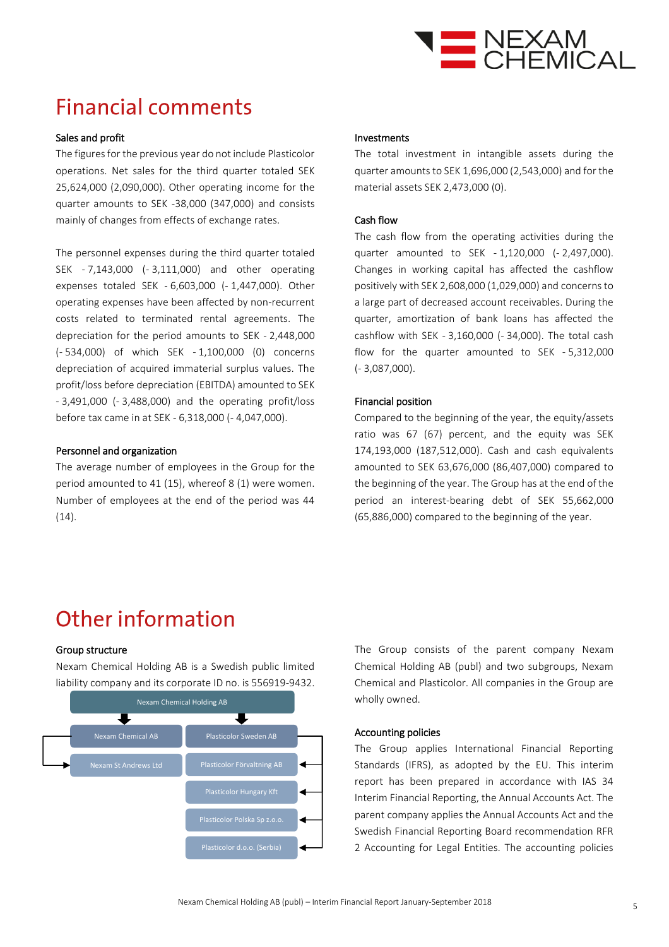

## **Financial comments**

#### Sales and profit

The figures for the previous year do not include Plasticolor operations. Net sales for the third quarter totaled SEK 25,624,000 (2,090,000). Other operating income for the quarter amounts to SEK -38,000 (347,000) and consists mainly of changes from effects of exchange rates.

The personnel expenses during the third quarter totaled SEK - 7,143,000 (- 3,111,000) and other operating expenses totaled SEK - 6,603,000 (- 1,447,000). Other operating expenses have been affected by non-recurrent costs related to terminated rental agreements. The depreciation for the period amounts to SEK - 2,448,000 (- 534,000) of which SEK - 1,100,000 (0) concerns depreciation of acquired immaterial surplus values. The profit/loss before depreciation (EBITDA) amounted to SEK - 3,491,000 (- 3,488,000) and the operating profit/loss before tax came in at SEK - 6,318,000 (- 4,047,000).

#### Personnel and organization

The average number of employees in the Group for the period amounted to 41 (15), whereof 8 (1) were women. Number of employees at the end of the period was 44  $(14).$ 

#### Investments

The total investment in intangible assets during the quarter amounts to SEK 1,696,000 (2,543,000) and for the material assets SEK 2,473,000 (0).

#### Cash flow

The cash flow from the operating activities during the quarter amounted to SEK - 1,120,000 (- 2,497,000). Changes in working capital has affected the cashflow positively with SEK 2,608,000 (1,029,000) and concerns to a large part of decreased account receivables. During the quarter, amortization of bank loans has affected the cashflow with SEK - 3,160,000 (- 34,000). The total cash flow for the quarter amounted to SEK - 5,312,000 (- 3,087,000).

#### Financial position

Compared to the beginning of the year, the equity/assets ratio was 67 (67) percent, and the equity was SEK 174,193,000 (187,512,000). Cash and cash equivalents amounted to SEK 63,676,000 (86,407,000) compared to the beginning of the year. The Group has at the end of the period an interest-bearing debt of SEK 55,662,000 (65,886,000) compared to the beginning of the year.

### **Other information**

#### Group structure

Nexam Chemical Holding AB is a Swedish public limited liability company and its corporate ID no. is 556919-9432.



The Group consists of the parent company Nexam Chemical Holding AB (publ) and two subgroups, Nexam Chemical and Plasticolor. All companies in the Group are wholly owned.

#### Accounting policies

The Group applies International Financial Reporting Standards (IFRS), as adopted by the EU. This interim report has been prepared in accordance with IAS 34 Interim Financial Reporting, the Annual Accounts Act. The parent company applies the Annual Accounts Act and the Swedish Financial Reporting Board recommendation RFR 2 Accounting for Legal Entities. The accounting policies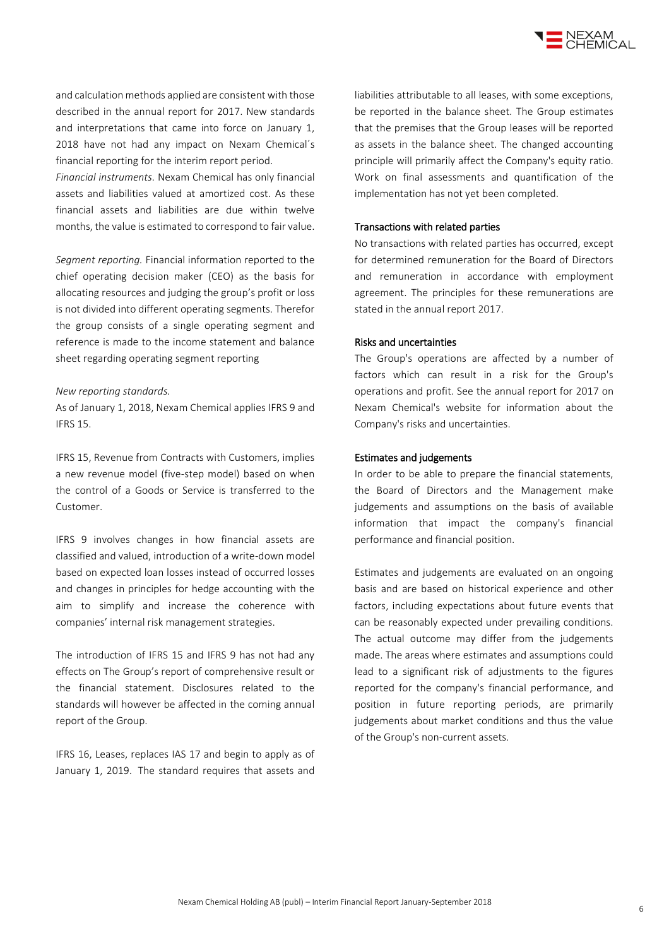

and calculation methods applied are consistent with those described in the annual report for 2017. New standards and interpretations that came into force on January 1, 2018 have not had any impact on Nexam Chemical´s financial reporting for the interim report period.

*Financial instruments.* Nexam Chemical has only financial assets and liabilities valued at amortized cost. As these financial assets and liabilities are due within twelve months, the value is estimated to correspond to fair value.

*Segment reporting.* Financial information reported to the chief operating decision maker (CEO) as the basis for allocating resources and judging the group's profit or loss is not divided into different operating segments. Therefor the group consists of a single operating segment and reference is made to the income statement and balance sheet regarding operating segment reporting

#### *New reporting standards.*

As of January 1, 2018, Nexam Chemical applies IFRS 9 and IFRS 15.

IFRS 15, Revenue from Contracts with Customers, implies a new revenue model (five-step model) based on when the control of a Goods or Service is transferred to the Customer.

IFRS 9 involves changes in how financial assets are classified and valued, introduction of a write-down model based on expected loan losses instead of occurred losses and changes in principles for hedge accounting with the aim to simplify and increase the coherence with companies' internal risk management strategies.

The introduction of IFRS 15 and IFRS 9 has not had any effects on The Group's report of comprehensive result or the financial statement. Disclosures related to the standards will however be affected in the coming annual report of the Group.

IFRS 16, Leases, replaces IAS 17 and begin to apply as of January 1, 2019. The standard requires that assets and liabilities attributable to all leases, with some exceptions, be reported in the balance sheet. The Group estimates that the premises that the Group leases will be reported as assets in the balance sheet. The changed accounting principle will primarily affect the Company's equity ratio. Work on final assessments and quantification of the implementation has not yet been completed.

#### Transactions with related parties

No transactions with related parties has occurred, except for determined remuneration for the Board of Directors and remuneration in accordance with employment agreement. The principles for these remunerations are stated in the annual report 2017.

#### Risks and uncertainties

The Group's operations are affected by a number of factors which can result in a risk for the Group's operations and profit. See the annual report for 2017 on Nexam Chemical's website for information about the Company's risks and uncertainties.

#### Estimates and judgements

In order to be able to prepare the financial statements, the Board of Directors and the Management make judgements and assumptions on the basis of available information that impact the company's financial performance and financial position.

Estimates and judgements are evaluated on an ongoing basis and are based on historical experience and other factors, including expectations about future events that can be reasonably expected under prevailing conditions. The actual outcome may differ from the judgements made. The areas where estimates and assumptions could lead to a significant risk of adjustments to the figures reported for the company's financial performance, and position in future reporting periods, are primarily judgements about market conditions and thus the value of the Group's non-current assets.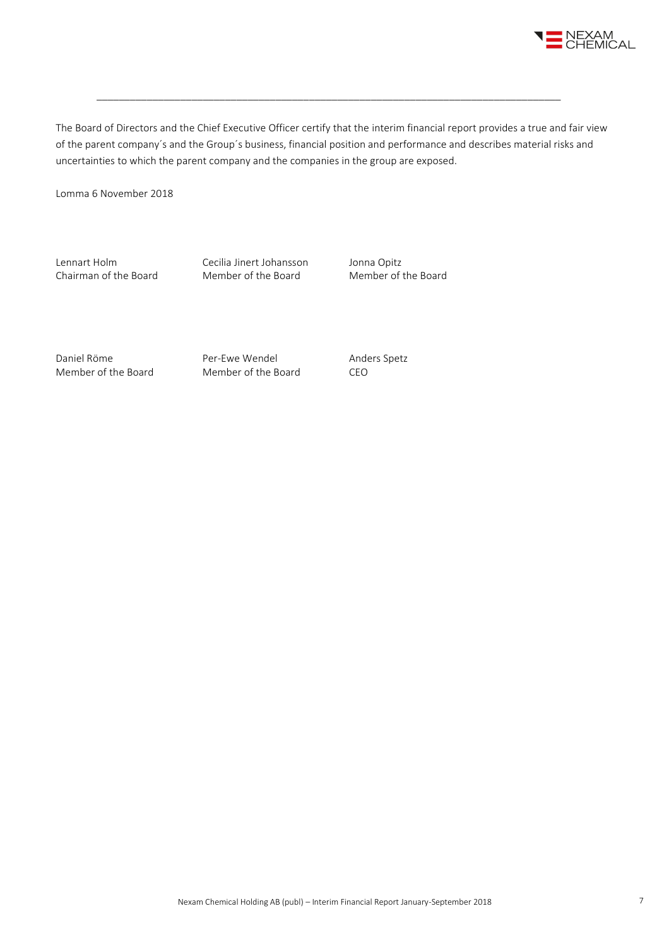

The Board of Directors and the Chief Executive Officer certify that the interim financial report provides a true and fair view of the parent company´s and the Group´s business, financial position and performance and describes material risks and uncertainties to which the parent company and the companies in the group are exposed.

\_\_\_\_\_\_\_\_\_\_\_\_\_\_\_\_\_\_\_\_\_\_\_\_\_\_\_\_\_\_\_\_\_\_\_\_\_\_\_\_\_\_\_\_\_\_\_\_\_\_\_\_\_\_\_\_\_\_\_\_\_\_\_\_\_\_\_\_\_\_\_\_\_\_\_\_\_\_\_\_\_\_\_

Lomma 6 November 2018

Lennart Holm Cecilia Jinert Johansson Jonna Opitz<br>
Chairman of the Board Member of the Board Member of the Board Chairman of the Board

Daniel Röme **Per-Ewe Wendel** Anders Spetz Member of the Board Member of the Board CEO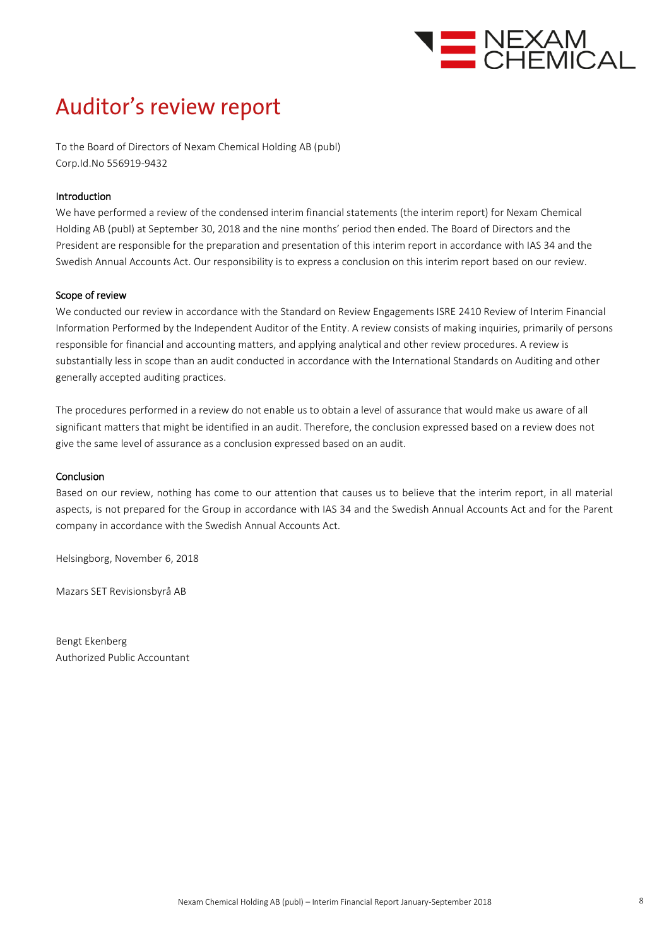

## Auditor's review report

To the Board of Directors of Nexam Chemical Holding AB (publ) Corp.Id.No 556919-9432

#### Introduction

We have performed a review of the condensed interim financial statements (the interim report) for Nexam Chemical Holding AB (publ) at September 30, 2018 and the nine months' period then ended. The Board of Directors and the President are responsible for the preparation and presentation of this interim report in accordance with IAS 34 and the Swedish Annual Accounts Act. Our responsibility is to express a conclusion on this interim report based on our review.

#### Scope of review

We conducted our review in accordance with the Standard on Review Engagements ISRE 2410 Review of Interim Financial Information Performed by the Independent Auditor of the Entity. A review consists of making inquiries, primarily of persons responsible for financial and accounting matters, and applying analytical and other review procedures. A review is substantially less in scope than an audit conducted in accordance with the International Standards on Auditing and other generally accepted auditing practices.

The procedures performed in a review do not enable us to obtain a level of assurance that would make us aware of all significant matters that might be identified in an audit. Therefore, the conclusion expressed based on a review does not give the same level of assurance as a conclusion expressed based on an audit.

#### Conclusion

Based on our review, nothing has come to our attention that causes us to believe that the interim report, in all material aspects, is not prepared for the Group in accordance with IAS 34 and the Swedish Annual Accounts Act and for the Parent company in accordance with the Swedish Annual Accounts Act.

Helsingborg, November 6, 2018

Mazars SET Revisionsbyrå AB

Bengt Ekenberg Authorized Public Accountant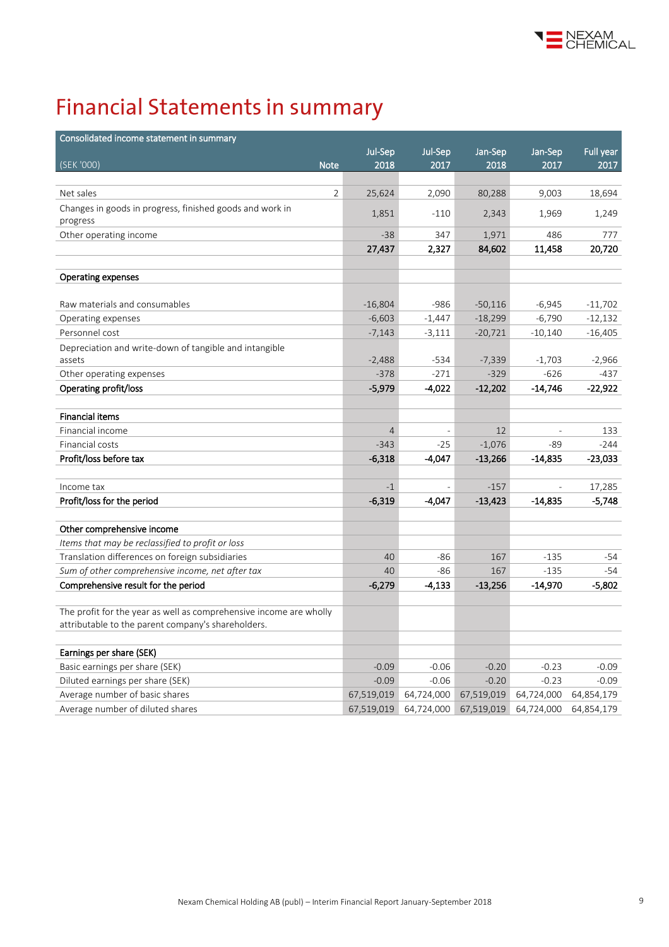

# **Financial Statements in summary**

| Consolidated income statement in summary                           |                |                          |            |            |            |
|--------------------------------------------------------------------|----------------|--------------------------|------------|------------|------------|
|                                                                    | Jul-Sep        | Jul-Sep                  | Jan-Sep    | Jan-Sep    | Full year  |
| (SEK '000)<br><b>Note</b>                                          | 2018           | 2017                     | 2018       | 2017       | 2017       |
|                                                                    |                |                          |            |            |            |
| Net sales<br>2                                                     | 25,624         | 2,090                    | 80,288     | 9,003      | 18,694     |
| Changes in goods in progress, finished goods and work in           | 1,851          | $-110$                   | 2,343      | 1,969      | 1,249      |
| progress                                                           |                |                          |            |            |            |
| Other operating income                                             | $-38$          | 347                      | 1,971      | 486        | 777        |
|                                                                    | 27,437         | 2,327                    | 84,602     | 11,458     | 20,720     |
|                                                                    |                |                          |            |            |            |
| Operating expenses                                                 |                |                          |            |            |            |
| Raw materials and consumables                                      | $-16,804$      | $-986$                   | $-50,116$  | $-6,945$   | $-11,702$  |
| Operating expenses                                                 | $-6,603$       | $-1,447$                 | $-18,299$  | $-6,790$   | $-12,132$  |
| Personnel cost                                                     | $-7,143$       | $-3,111$                 | $-20,721$  | $-10,140$  | $-16,405$  |
| Depreciation and write-down of tangible and intangible             |                |                          |            |            |            |
| assets                                                             | $-2,488$       | $-534$                   | $-7,339$   | $-1,703$   | $-2,966$   |
| Other operating expenses                                           | $-378$         | $-271$                   | $-329$     | $-626$     | $-437$     |
| Operating profit/loss                                              | $-5,979$       | -4,022                   | $-12,202$  | $-14,746$  | $-22,922$  |
|                                                                    |                |                          |            |            |            |
| <b>Financial items</b>                                             |                |                          |            |            |            |
| Financial income                                                   | $\overline{4}$ | $\overline{\phantom{a}}$ | 12         | L,         | 133        |
| Financial costs                                                    | $-343$         | $-25$                    | $-1,076$   | -89        | $-244$     |
| Profit/loss before tax                                             | $-6,318$       | $-4,047$                 | $-13,266$  | $-14,835$  | $-23,033$  |
|                                                                    |                |                          |            |            |            |
| Income tax                                                         | $-1$           |                          | $-157$     |            | 17,285     |
| Profit/loss for the period                                         | $-6,319$       | -4,047                   | $-13,423$  | $-14,835$  | $-5,748$   |
|                                                                    |                |                          |            |            |            |
| Other comprehensive income                                         |                |                          |            |            |            |
| Items that may be reclassified to profit or loss                   |                |                          |            |            |            |
| Translation differences on foreign subsidiaries                    | 40             | $-86$                    | 167        | $-135$     | -54        |
| Sum of other comprehensive income, net after tax                   | 40             | -86                      | 167        | $-135$     | -54        |
| Comprehensive result for the period                                | $-6,279$       | $-4,133$                 | $-13,256$  | $-14,970$  | $-5,802$   |
| The profit for the year as well as comprehensive income are wholly |                |                          |            |            |            |
| attributable to the parent company's shareholders.                 |                |                          |            |            |            |
|                                                                    |                |                          |            |            |            |
| Earnings per share (SEK)                                           |                |                          |            |            |            |
| Basic earnings per share (SEK)                                     | $-0.09$        | $-0.06$                  | $-0.20$    | $-0.23$    | $-0.09$    |
| Diluted earnings per share (SEK)                                   | $-0.09$        | $-0.06$                  | $-0.20$    | $-0.23$    | $-0.09$    |
| Average number of basic shares                                     | 67,519,019     | 64,724,000               | 67,519,019 | 64,724,000 | 64,854,179 |
| Average number of diluted shares                                   | 67,519,019     | 64,724,000               | 67,519,019 | 64,724,000 | 64,854,179 |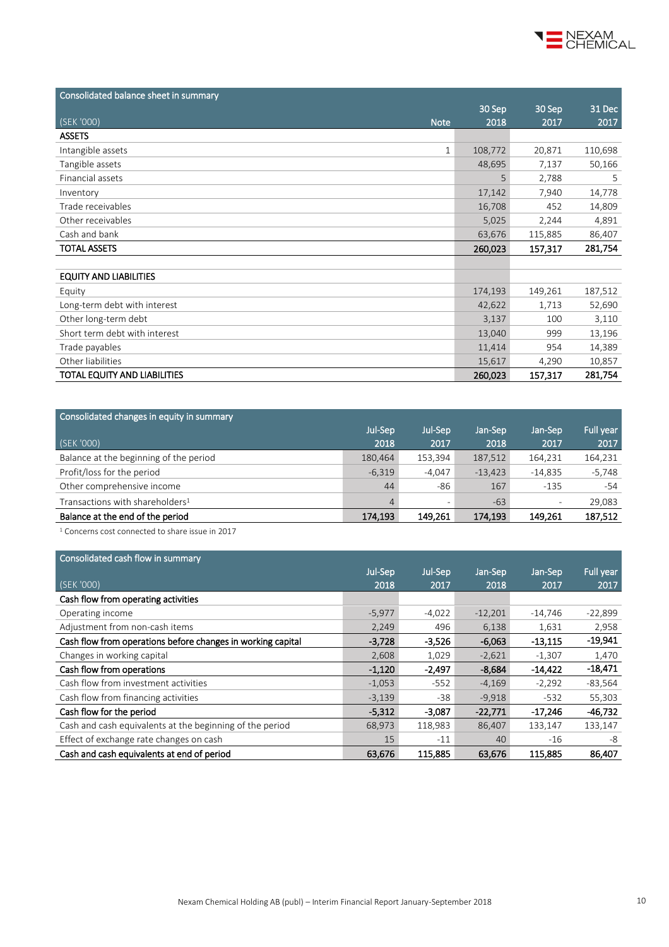

| Consolidated balance sheet in summary |         |         |         |
|---------------------------------------|---------|---------|---------|
|                                       | 30 Sep  | 30 Sep  | 31 Dec  |
| (SEK '000)<br><b>Note</b>             | 2018    | 2017    | 2017    |
| <b>ASSETS</b>                         |         |         |         |
| Intangible assets<br>1                | 108,772 | 20,871  | 110,698 |
| Tangible assets                       | 48,695  | 7,137   | 50,166  |
| Financial assets                      | 5       | 2,788   | 5.      |
| Inventory                             | 17,142  | 7,940   | 14,778  |
| Trade receivables                     | 16,708  | 452     | 14,809  |
| Other receivables                     | 5,025   | 2,244   | 4,891   |
| Cash and bank                         | 63,676  | 115,885 | 86,407  |
| <b>TOTAL ASSETS</b>                   | 260,023 | 157,317 | 281,754 |
|                                       |         |         |         |
| <b>EQUITY AND LIABILITIES</b>         |         |         |         |
| Equity                                | 174,193 | 149,261 | 187,512 |
| Long-term debt with interest          | 42,622  | 1,713   | 52,690  |
| Other long-term debt                  | 3,137   | 100     | 3,110   |
| Short term debt with interest         | 13,040  | 999     | 13,196  |
| Trade payables                        | 11,414  | 954     | 14,389  |
| Other liabilities                     | 15,617  | 4,290   | 10,857  |
| TOTAL EQUITY AND LIABILITIES          | 260,023 | 157,317 | 281,754 |

| Jul-Sep        | Jul-Sep  | Jan-Sep   | Jan-Sep                  | Full year |
|----------------|----------|-----------|--------------------------|-----------|
| 2018           | 2017     | 2018      | 2017                     | 2017      |
| 180,464        | 153,394  | 187,512   | 164,231                  | 164,231   |
| $-6.319$       | $-4.047$ | $-13.423$ | $-14.835$                | $-5,748$  |
| 44             | -86      | 167       | $-135$                   | $-54$     |
| $\overline{4}$ |          | $-63$     | $\overline{\phantom{a}}$ | 29,083    |
| 174,193        | 149,261  | 174,193   | 149.261                  | 187,512   |
|                |          |           |                          |           |

<sup>1</sup> Concerns cost connected to share issue in 2017

| Consolidated cash flow in summary                           |          |          |           |           |           |
|-------------------------------------------------------------|----------|----------|-----------|-----------|-----------|
|                                                             | Jul-Sep  | Jul-Sep  | Jan-Sep   | Jan-Sep   | Full year |
| (SEK '000)                                                  | 2018     | 2017     | 2018      | 2017      | 2017      |
| Cash flow from operating activities                         |          |          |           |           |           |
| Operating income                                            | $-5,977$ | $-4,022$ | $-12,201$ | $-14,746$ | $-22,899$ |
| Adjustment from non-cash items                              | 2,249    | 496      | 6,138     | 1,631     | 2,958     |
| Cash flow from operations before changes in working capital | $-3,728$ | $-3,526$ | $-6,063$  | $-13,115$ | -19,941   |
| Changes in working capital                                  | 2,608    | 1,029    | $-2,621$  | $-1,307$  | 1,470     |
| Cash flow from operations                                   | $-1,120$ | $-2,497$ | $-8,684$  | $-14,422$ | -18,471   |
| Cash flow from investment activities                        | $-1,053$ | $-552$   | $-4,169$  | $-2,292$  | $-83,564$ |
| Cash flow from financing activities                         | $-3,139$ | $-38$    | $-9,918$  | $-532$    | 55,303    |
| Cash flow for the period                                    | $-5,312$ | $-3,087$ | $-22,771$ | $-17,246$ | $-46,732$ |
| Cash and cash equivalents at the beginning of the period    | 68,973   | 118,983  | 86,407    | 133,147   | 133,147   |
| Effect of exchange rate changes on cash                     | 15       | $-11$    | 40        | $-16$     | -8        |
| Cash and cash equivalents at end of period                  | 63,676   | 115,885  | 63,676    | 115,885   | 86,407    |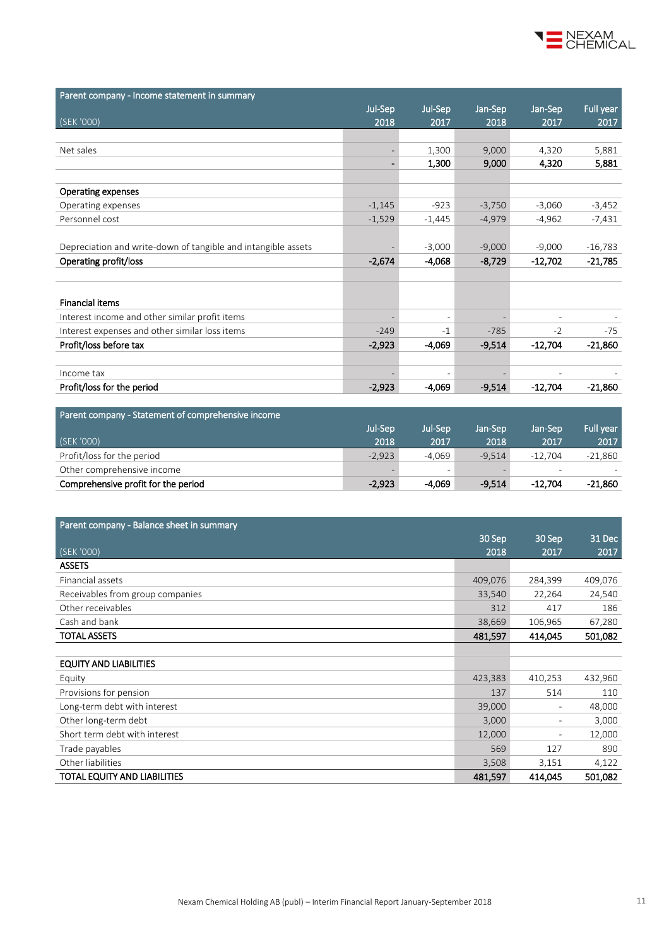

| Parent company - Income statement in summary                  |                              |          |          |                          |           |
|---------------------------------------------------------------|------------------------------|----------|----------|--------------------------|-----------|
|                                                               | Jul-Sep                      | Jul-Sep  | Jan-Sep  | Jan-Sep                  | Full year |
| (SEK '000)                                                    | 2018                         | 2017     | 2018     | 2017                     | 2017      |
|                                                               |                              |          |          |                          |           |
| Net sales                                                     | $\overline{\phantom{a}}$     | 1,300    | 9,000    | 4,320                    | 5,881     |
|                                                               | $\qquad \qquad \blacksquare$ | 1,300    | 9,000    | 4,320                    | 5,881     |
|                                                               |                              |          |          |                          |           |
| Operating expenses                                            |                              |          |          |                          |           |
| Operating expenses                                            | $-1,145$                     | $-923$   | $-3,750$ | $-3,060$                 | $-3,452$  |
| Personnel cost                                                | $-1,529$                     | $-1,445$ | $-4,979$ | $-4,962$                 | $-7,431$  |
|                                                               |                              |          |          |                          |           |
| Depreciation and write-down of tangible and intangible assets |                              | $-3,000$ | $-9,000$ | $-9,000$                 | $-16,783$ |
| Operating profit/loss                                         | $-2,674$                     | $-4,068$ | $-8,729$ | $-12,702$                | -21,785   |
|                                                               |                              |          |          |                          |           |
|                                                               |                              |          |          |                          |           |
| <b>Financial items</b>                                        |                              |          |          |                          |           |
| Interest income and other similar profit items                |                              |          |          |                          |           |
| Interest expenses and other similar loss items                | $-249$                       | $-1$     | $-785$   | $-2$                     | $-75$     |
| Profit/loss before tax                                        | $-2,923$                     | $-4,069$ | $-9,514$ | $-12,704$                | $-21,860$ |
|                                                               |                              |          |          |                          |           |
| Income tax                                                    |                              |          |          | $\overline{\phantom{0}}$ |           |
| Profit/loss for the period                                    | $-2,923$                     | $-4,069$ | $-9,514$ | $-12,704$                | $-21,860$ |

| Parent company - Statement of comprehensive income |          |          |          |                          |                  |
|----------------------------------------------------|----------|----------|----------|--------------------------|------------------|
|                                                    | Jul-Sep  | Jul-Sep  | Jan-Sep  | Jan-Sep                  | <b>Full vear</b> |
| (SEK '000)                                         | 2018     | 2017     | 2018     | 2017                     | 2017             |
| Profit/loss for the period                         | $-2.923$ | $-4.069$ | $-9.514$ | $-12.704$                | $-21.860$        |
| Other comprehensive income                         |          |          |          | $\overline{\phantom{a}}$ |                  |
| Comprehensive profit for the period                | $-2.923$ | -4.069   | $-9.514$ | $-12.704$                | $-21.860$        |

| Parent company - Balance sheet in summary |         |                          |         |
|-------------------------------------------|---------|--------------------------|---------|
|                                           | 30 Sep  | 30 Sep                   | 31 Dec  |
| (SEK'000)                                 | 2018    | 2017                     | 2017    |
| <b>ASSETS</b>                             |         |                          |         |
| Financial assets                          | 409,076 | 284,399                  | 409,076 |
| Receivables from group companies          | 33,540  | 22,264                   | 24,540  |
| Other receivables                         | 312     | 417                      | 186     |
| Cash and bank                             | 38,669  | 106,965                  | 67,280  |
| <b>TOTAL ASSETS</b>                       | 481,597 | 414,045                  | 501,082 |
|                                           |         |                          |         |
| <b>EQUITY AND LIABILITIES</b>             |         |                          |         |
| Equity                                    | 423,383 | 410,253                  | 432,960 |
| Provisions for pension                    | 137     | 514                      | 110     |
| Long-term debt with interest              | 39,000  | $\overline{\phantom{a}}$ | 48,000  |
| Other long-term debt                      | 3,000   | $\overline{\phantom{a}}$ | 3,000   |
| Short term debt with interest             | 12,000  | $\overline{\phantom{a}}$ | 12,000  |
| Trade payables                            | 569     | 127                      | 890     |
| Other liabilities                         | 3,508   | 3,151                    | 4,122   |
| TOTAL EQUITY AND LIABILITIES              | 481,597 | 414,045                  | 501,082 |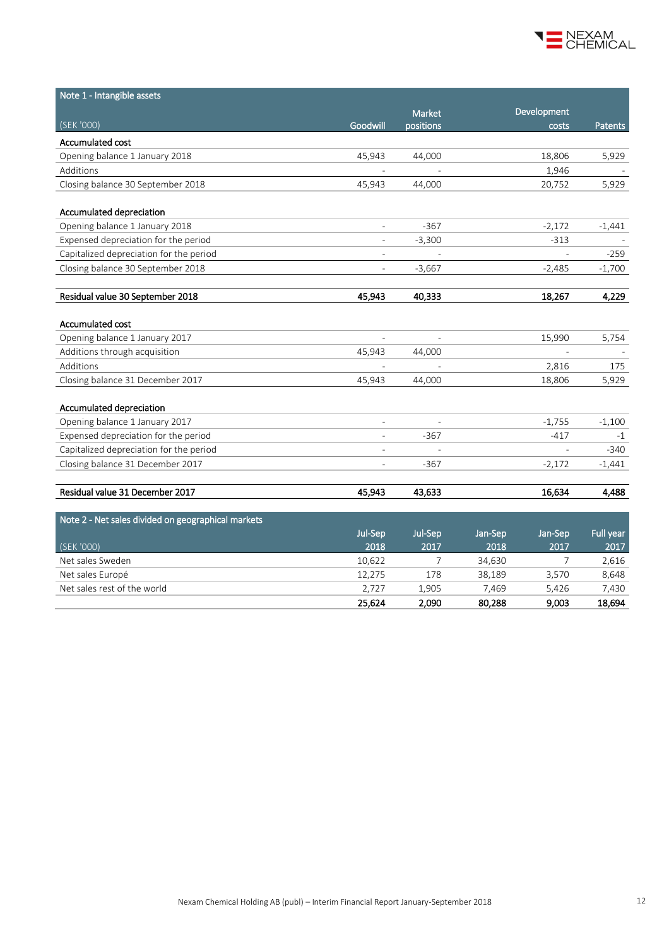

| Note 1 - Intangible assets                         |                          |                          |                          |           |
|----------------------------------------------------|--------------------------|--------------------------|--------------------------|-----------|
|                                                    |                          | Market                   | Development              |           |
| (SEK '000)                                         | Goodwill                 | positions                | costs                    | Patents   |
| Accumulated cost                                   |                          |                          |                          |           |
| Opening balance 1 January 2018                     | 45,943                   | 44,000                   | 18,806                   | 5,929     |
| Additions                                          |                          |                          | 1,946                    |           |
| Closing balance 30 September 2018                  | 45,943                   | 44,000                   | 20,752                   | 5,929     |
| Accumulated depreciation                           |                          |                          |                          |           |
| Opening balance 1 January 2018                     | $\overline{\phantom{0}}$ | $-367$                   | $-2,172$                 | $-1,441$  |
| Expensed depreciation for the period               | $\overline{\phantom{0}}$ | $-3,300$                 | $-313$                   |           |
| Capitalized depreciation for the period            | $\overline{\phantom{a}}$ |                          | $\overline{a}$           | $-259$    |
| Closing balance 30 September 2018                  | $\overline{a}$           | $-3,667$                 | $-2,485$                 | $-1,700$  |
|                                                    | 45,943                   |                          |                          |           |
| Residual value 30 September 2018                   |                          | 40,333                   | 18,267                   | 4,229     |
| Accumulated cost                                   |                          |                          |                          |           |
| Opening balance 1 January 2017                     |                          |                          | 15,990                   | 5,754     |
| Additions through acquisition                      | 45,943                   | 44,000                   |                          |           |
| Additions                                          |                          |                          | 2,816                    | 175       |
| Closing balance 31 December 2017                   | 45,943                   | 44,000                   | 18,806                   | 5,929     |
| Accumulated depreciation                           |                          |                          |                          |           |
| Opening balance 1 January 2017                     | $\overline{\phantom{0}}$ |                          | $-1,755$                 | $-1,100$  |
| Expensed depreciation for the period               | $\overline{\phantom{a}}$ | $-367$                   | $-417$                   | $-1$      |
| Capitalized depreciation for the period            | $\overline{\phantom{a}}$ | $\overline{\phantom{a}}$ | $\overline{\phantom{a}}$ | $-340$    |
| Closing balance 31 December 2017                   | $\overline{\phantom{0}}$ | $-367$                   | $-2,172$                 | $-1,441$  |
|                                                    |                          |                          |                          |           |
| Residual value 31 December 2017                    | 45,943                   | 43,633                   | 16,634                   | 4,488     |
| Note 2 - Net sales divided on geographical markets |                          |                          |                          |           |
|                                                    | Jul-Sep                  | Jul-Sep                  | Jan-Sep<br>Jan-Sep       | Full year |
| (SEK '000)                                         | 2018                     | 2017                     | 2018<br>2017             | 2017      |
| Net sales Sweden                                   | 10,622                   | $\overline{7}$           | 34,630<br>7              | 2,616     |
| Net sales Europé                                   | 12,275                   | 178                      | 38,189<br>3,570          | 8,648     |
| Net sales rest of the world                        | 2,727                    | 1.905                    | 7,469<br>5.426           | 7,430     |

 $25,624$   $2,090$   $80,288$   $9,003$   $18,694$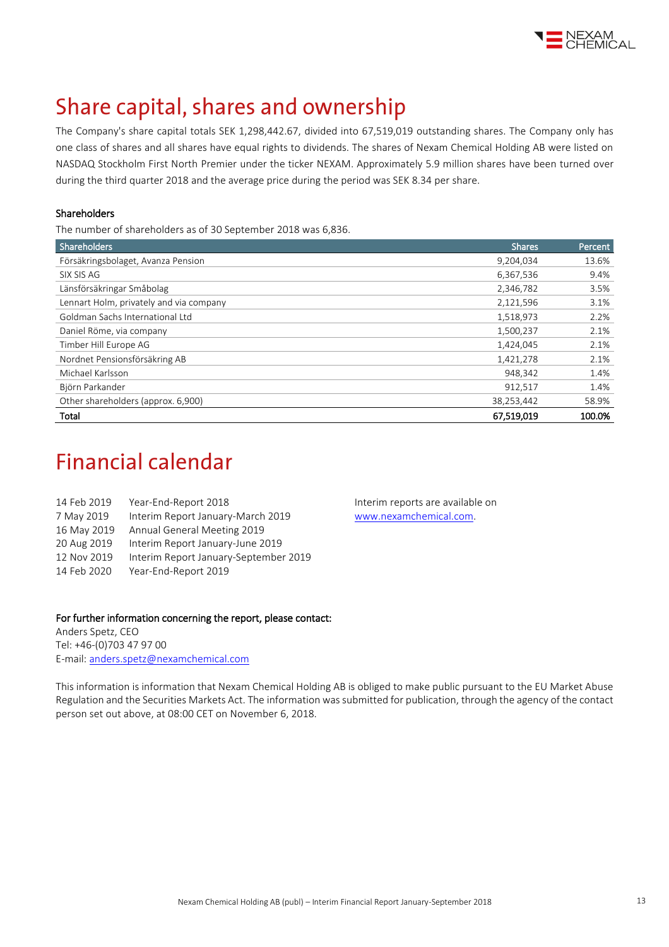

## Share capital, shares and ownership

The Company's share capital totals SEK 1,298,442.67, divided into 67,519,019 outstanding shares. The Company only has one class of shares and all shares have equal rights to dividends. The shares of Nexam Chemical Holding AB were listed on NASDAQ Stockholm First North Premier under the ticker NEXAM. Approximately 5.9 million shares have been turned over during the third quarter 2018 and the average price during the period was SEK 8.34 per share.

#### Shareholders

The number of shareholders as of 30 September 2018 was 6,836.

| <b>Shareholders</b>                     | <b>Shares</b> | Percent |
|-----------------------------------------|---------------|---------|
| Försäkringsbolaget, Avanza Pension      | 9,204,034     | 13.6%   |
| SIX SIS AG                              | 6,367,536     | 9.4%    |
| Länsförsäkringar Småbolag               | 2,346,782     | 3.5%    |
| Lennart Holm, privately and via company | 2,121,596     | 3.1%    |
| Goldman Sachs International Ltd         | 1,518,973     | 2.2%    |
| Daniel Röme, via company                | 1,500,237     | 2.1%    |
| Timber Hill Europe AG                   | 1,424,045     | 2.1%    |
| Nordnet Pensionsförsäkring AB           | 1,421,278     | 2.1%    |
| Michael Karlsson                        | 948,342       | 1.4%    |
| Björn Parkander                         | 912,517       | 1.4%    |
| Other shareholders (approx. 6,900)      | 38,253,442    | 58.9%   |
| Total                                   | 67.519.019    | 100.0%  |

### **Financial calendar**

| 14 Feb 2019 | Year-End-Report 2018                  |
|-------------|---------------------------------------|
| 7 May 2019  | Interim Report January-March 2019     |
| 16 May 2019 | Annual General Meeting 2019           |
| 20 Aug 2019 | Interim Report January-June 2019      |
| 12 Nov 2019 | Interim Report January-September 2019 |
| 14 Feb 2020 | Year-End-Report 2019                  |
|             |                                       |

Interim reports are available on [www.nexamchemical.com.](http://www.nexamchemical.com/)

#### For further information concerning the report, please contact:

Anders Spetz, CEO Tel: +46-(0)703 47 97 00 E-mail[: anders.spetz@nexamchemical.com](mailto:anders.spetz@nexamchemical.com)

This information is information that Nexam Chemical Holding AB is obliged to make public pursuant to the EU Market Abuse Regulation and the Securities Markets Act. The information was submitted for publication, through the agency of the contact person set out above, at 08:00 CET on November 6, 2018.